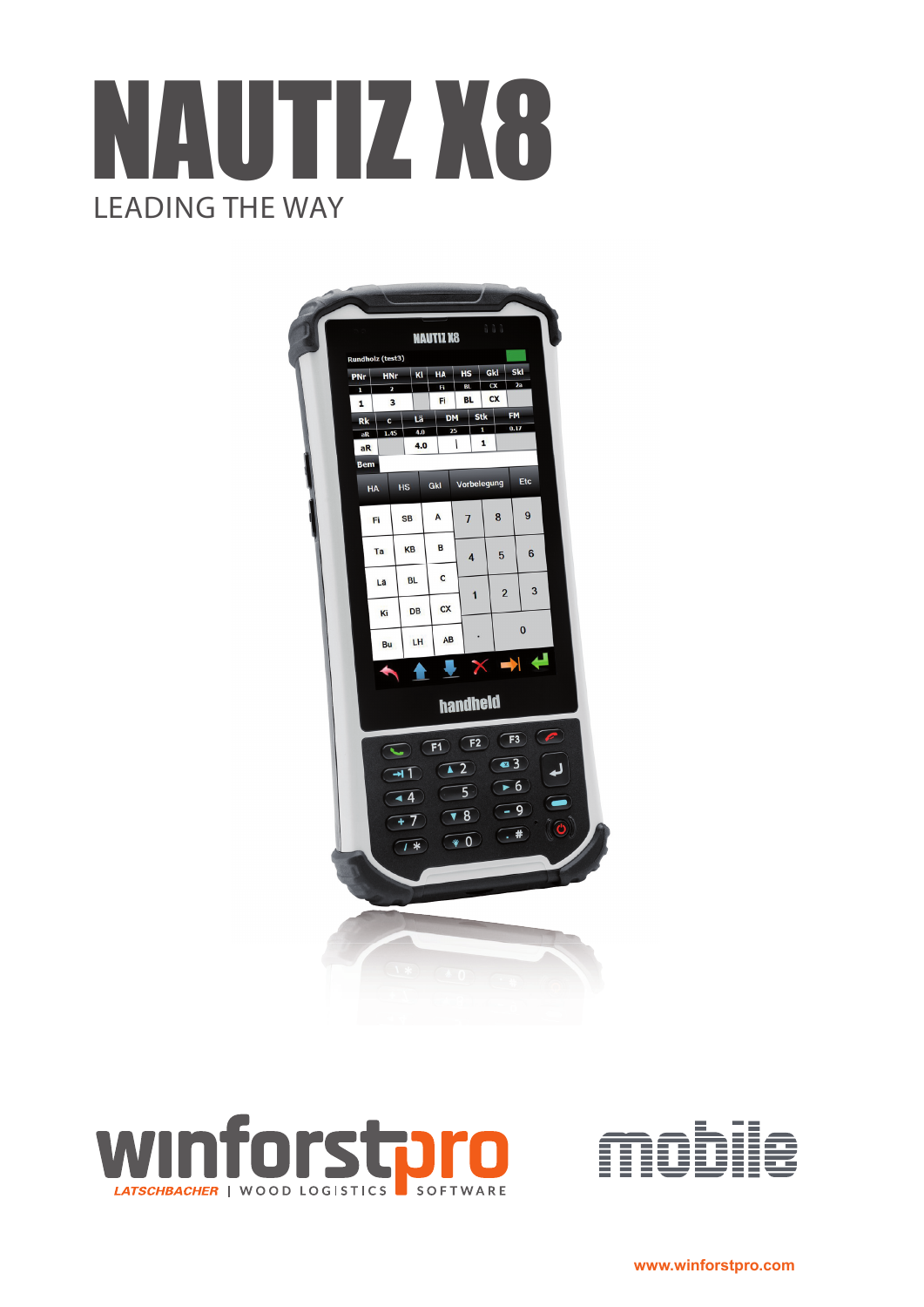







**www.winforstpro.com**